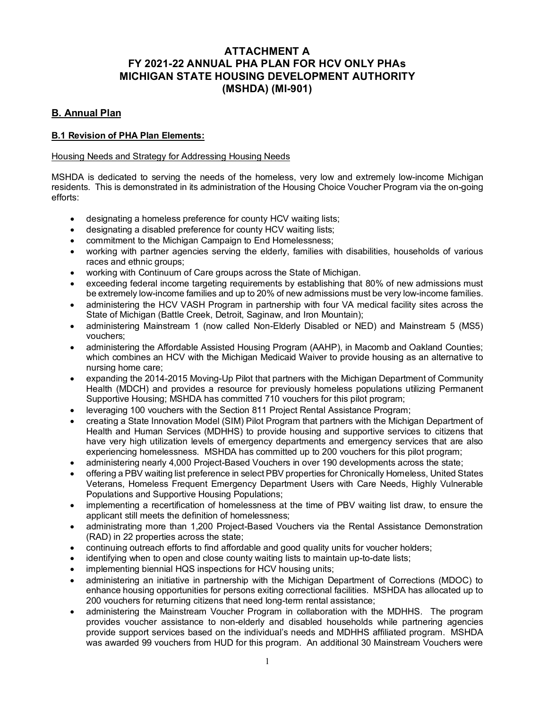# **ATTACHMENT A FY 2021-22 ANNUAL PHA PLAN FOR HCV ONLY PHAs MICHIGAN STATE HOUSING DEVELOPMENT AUTHORITY (MSHDA) (MI-901)**

## **B. Annual Plan**

## **B.1 Revision of PHA Plan Elements:**

### Housing Needs and Strategy for Addressing Housing Needs

MSHDA is dedicated to serving the needs of the homeless, very low and extremely low-income Michigan residents. This is demonstrated in its administration of the Housing Choice Voucher Program via the on-going efforts:

- designating a homeless preference for county HCV waiting lists;
- designating a disabled preference for county HCV waiting lists;
- commitment to the Michigan Campaign to End Homelessness;
- working with partner agencies serving the elderly, families with disabilities, households of various races and ethnic groups;
- working with Continuum of Care groups across the State of Michigan.
- exceeding federal income targeting requirements by establishing that 80% of new admissions must be extremely low-income families and up to 20% of new admissions must be very low-income families.
- administering the HCV VASH Program in partnership with four VA medical facility sites across the State of Michigan (Battle Creek, Detroit, Saginaw, and Iron Mountain);
- administering Mainstream 1 (now called Non-Elderly Disabled or NED) and Mainstream 5 (MS5) vouchers;
- administering the Affordable Assisted Housing Program (AAHP), in Macomb and Oakland Counties; which combines an HCV with the Michigan Medicaid Waiver to provide housing as an alternative to nursing home care;
- expanding the 2014-2015 Moving-Up Pilot that partners with the Michigan Department of Community Health (MDCH) and provides a resource for previously homeless populations utilizing Permanent Supportive Housing; MSHDA has committed 710 vouchers for this pilot program;
- leveraging 100 vouchers with the Section 811 Project Rental Assistance Program;
- creating a State Innovation Model (SIM) Pilot Program that partners with the Michigan Department of Health and Human Services (MDHHS) to provide housing and supportive services to citizens that have very high utilization levels of emergency departments and emergency services that are also experiencing homelessness. MSHDA has committed up to 200 vouchers for this pilot program;
- administering nearly 4,000 Project-Based Vouchers in over 190 developments across the state;
- offering a PBV waiting list preference in select PBV properties for Chronically Homeless, United States Veterans, Homeless Frequent Emergency Department Users with Care Needs, Highly Vulnerable Populations and Supportive Housing Populations;
- implementing a recertification of homelessness at the time of PBV waiting list draw, to ensure the applicant still meets the definition of homelessness;
- administrating more than 1,200 Project-Based Vouchers via the Rental Assistance Demonstration (RAD) in 22 properties across the state;
- continuing outreach efforts to find affordable and good quality units for voucher holders;
- identifying when to open and close county waiting lists to maintain up-to-date lists;
- implementing biennial HQS inspections for HCV housing units;
- administering an initiative in partnership with the Michigan Department of Corrections (MDOC) to enhance housing opportunities for persons exiting correctional facilities. MSHDA has allocated up to 200 vouchers for returning citizens that need long-term rental assistance;
- administering the Mainstream Voucher Program in collaboration with the MDHHS. The program provides voucher assistance to non-elderly and disabled households while partnering agencies provide support services based on the individual's needs and MDHHS affiliated program. MSHDA was awarded 99 vouchers from HUD for this program. An additional 30 Mainstream Vouchers were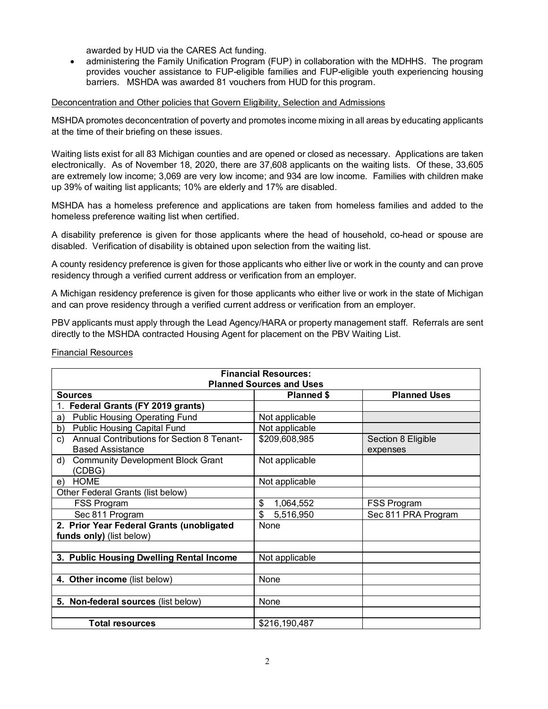awarded by HUD via the CARES Act funding.

• administering the Family Unification Program (FUP) in collaboration with the MDHHS. The program provides voucher assistance to FUP-eligible families and FUP-eligible youth experiencing housing barriers. MSHDA was awarded 81 vouchers from HUD for this program.

### Deconcentration and Other policies that Govern Eligibility, Selection and Admissions

MSHDA promotes deconcentration of poverty and promotes income mixing in all areas by educating applicants at the time of their briefing on these issues.

Waiting lists exist for all 83 Michigan counties and are opened or closed as necessary. Applications are taken electronically. As of November 18, 2020, there are 37,608 applicants on the waiting lists. Of these, 33,605 are extremely low income; 3,069 are very low income; and 934 are low income. Families with children make up 39% of waiting list applicants; 10% are elderly and 17% are disabled.

MSHDA has a homeless preference and applications are taken from homeless families and added to the homeless preference waiting list when certified.

A disability preference is given for those applicants where the head of household, co-head or spouse are disabled. Verification of disability is obtained upon selection from the waiting list.

A county residency preference is given for those applicants who either live or work in the county and can prove residency through a verified current address or verification from an employer.

A Michigan residency preference is given for those applicants who either live or work in the state of Michigan and can prove residency through a verified current address or verification from an employer.

PBV applicants must apply through the Lead Agency/HARA or property management staff. Referrals are sent directly to the MSHDA contracted Housing Agent for placement on the PBV Waiting List.

Financial Resources

| <b>Financial Resources:</b>                                                 |                   |                                |
|-----------------------------------------------------------------------------|-------------------|--------------------------------|
| <b>Planned Sources and Uses</b>                                             |                   |                                |
| <b>Sources</b>                                                              | <b>Planned \$</b> | <b>Planned Uses</b>            |
| Federal Grants (FY 2019 grants)                                             |                   |                                |
| <b>Public Housing Operating Fund</b><br>a)                                  | Not applicable    |                                |
| <b>Public Housing Capital Fund</b><br>b)                                    | Not applicable    |                                |
| Annual Contributions for Section 8 Tenant-<br>c)<br><b>Based Assistance</b> | \$209,608,985     | Section 8 Eligible<br>expenses |
| <b>Community Development Block Grant</b><br>d)<br>(CDBG)                    | Not applicable    |                                |
| <b>HOME</b><br>e)                                                           | Not applicable    |                                |
| Other Federal Grants (list below)                                           |                   |                                |
| FSS Program                                                                 | \$<br>1,064,552   | FSS Program                    |
| Sec 811 Program                                                             | \$<br>5,516,950   | Sec 811 PRA Program            |
| 2. Prior Year Federal Grants (unobligated<br>funds only) (list below)       | None              |                                |
| 3. Public Housing Dwelling Rental Income                                    | Not applicable    |                                |
| 4. Other income (list below)                                                | None              |                                |
| 5. Non-federal sources (list below)                                         | None              |                                |
|                                                                             |                   |                                |
| <b>Total resources</b>                                                      | \$216,190,487     |                                |